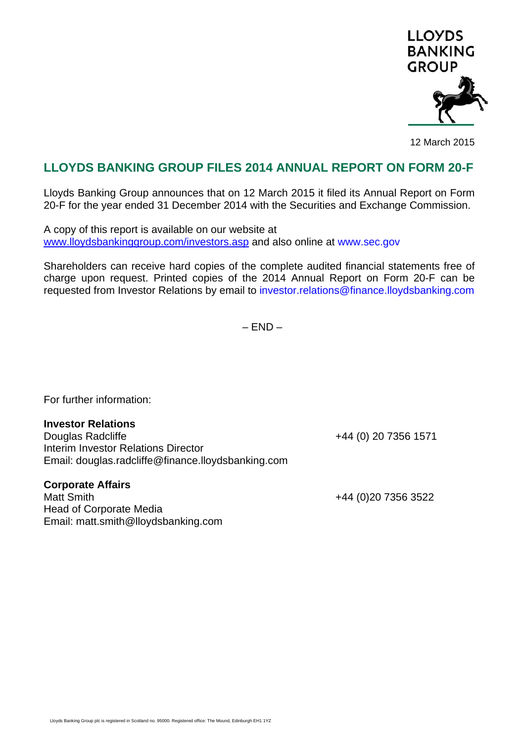

12 March 2015

## **LLOYDS BANKING GROUP FILES 2014 ANNUAL REPORT ON FORM 20-F**

Lloyds Banking Group announces that on 12 March 2015 it filed its Annual Report on Form 20-F for the year ended 31 December 2014 with the Securities and Exchange Commission.

A copy of this report is available on our website at www.lloydsbankinggroup.com/investors.asp and also online at www.sec.gov

Shareholders can receive hard copies of the complete audited financial statements free of charge upon request. Printed copies of the 2014 Annual Report on Form 20-F can be requested from Investor Relations by email to investor.relations@finance.lloydsbanking.com

 $-$  FND  $-$ 

For further information:

## **Investor Relations**

Douglas Radcliffe +44 (0) 20 7356 1571 Interim Investor Relations Director Email: douglas.radcliffe@finance.lloydsbanking.com

## **Corporate Affairs**

Matt Smith +44 (0)20 7356 3522 Head of Corporate Media Email: matt.smith@lloydsbanking.com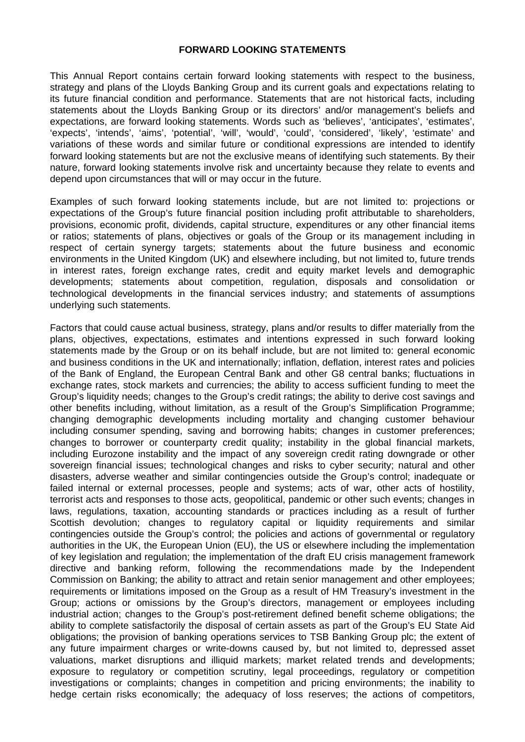## **FORWARD LOOKING STATEMENTS**

This Annual Report contains certain forward looking statements with respect to the business, strategy and plans of the Lloyds Banking Group and its current goals and expectations relating to its future financial condition and performance. Statements that are not historical facts, including statements about the Lloyds Banking Group or its directors' and/or management's beliefs and expectations, are forward looking statements. Words such as 'believes', 'anticipates', 'estimates', 'expects', 'intends', 'aims', 'potential', 'will', 'would', 'could', 'considered', 'likely', 'estimate' and variations of these words and similar future or conditional expressions are intended to identify forward looking statements but are not the exclusive means of identifying such statements. By their nature, forward looking statements involve risk and uncertainty because they relate to events and depend upon circumstances that will or may occur in the future.

Examples of such forward looking statements include, but are not limited to: projections or expectations of the Group's future financial position including profit attributable to shareholders, provisions, economic profit, dividends, capital structure, expenditures or any other financial items or ratios; statements of plans, objectives or goals of the Group or its management including in respect of certain synergy targets; statements about the future business and economic environments in the United Kingdom (UK) and elsewhere including, but not limited to, future trends in interest rates, foreign exchange rates, credit and equity market levels and demographic developments; statements about competition, regulation, disposals and consolidation or technological developments in the financial services industry; and statements of assumptions underlying such statements.

Factors that could cause actual business, strategy, plans and/or results to differ materially from the plans, objectives, expectations, estimates and intentions expressed in such forward looking statements made by the Group or on its behalf include, but are not limited to: general economic and business conditions in the UK and internationally; inflation, deflation, interest rates and policies of the Bank of England, the European Central Bank and other G8 central banks; fluctuations in exchange rates, stock markets and currencies; the ability to access sufficient funding to meet the Group's liquidity needs; changes to the Group's credit ratings; the ability to derive cost savings and other benefits including, without limitation, as a result of the Group's Simplification Programme; changing demographic developments including mortality and changing customer behaviour including consumer spending, saving and borrowing habits; changes in customer preferences; changes to borrower or counterparty credit quality; instability in the global financial markets, including Eurozone instability and the impact of any sovereign credit rating downgrade or other sovereign financial issues; technological changes and risks to cyber security; natural and other disasters, adverse weather and similar contingencies outside the Group's control; inadequate or failed internal or external processes, people and systems; acts of war, other acts of hostility, terrorist acts and responses to those acts, geopolitical, pandemic or other such events; changes in laws, regulations, taxation, accounting standards or practices including as a result of further Scottish devolution; changes to regulatory capital or liquidity requirements and similar contingencies outside the Group's control; the policies and actions of governmental or regulatory authorities in the UK, the European Union (EU), the US or elsewhere including the implementation of key legislation and regulation; the implementation of the draft EU crisis management framework directive and banking reform, following the recommendations made by the Independent Commission on Banking; the ability to attract and retain senior management and other employees; requirements or limitations imposed on the Group as a result of HM Treasury's investment in the Group; actions or omissions by the Group's directors, management or employees including industrial action; changes to the Group's post-retirement defined benefit scheme obligations; the ability to complete satisfactorily the disposal of certain assets as part of the Group's EU State Aid obligations; the provision of banking operations services to TSB Banking Group plc; the extent of any future impairment charges or write-downs caused by, but not limited to, depressed asset valuations, market disruptions and illiquid markets; market related trends and developments; exposure to regulatory or competition scrutiny, legal proceedings, regulatory or competition investigations or complaints; changes in competition and pricing environments; the inability to hedge certain risks economically; the adequacy of loss reserves; the actions of competitors,